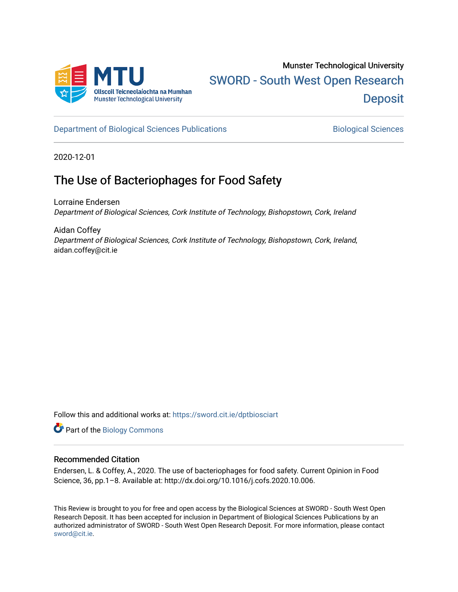

[Department of Biological Sciences Publications](https://sword.cit.ie/dptbiosciart) **Biological Sciences** Biological Sciences

2020-12-01

# The Use of Bacteriophages for Food Safety

Lorraine Endersen Department of Biological Sciences, Cork Institute of Technology, Bishopstown, Cork, Ireland

Aidan Coffey Department of Biological Sciences, Cork Institute of Technology, Bishopstown, Cork, Ireland, aidan.coffey@cit.ie

Follow this and additional works at: [https://sword.cit.ie/dptbiosciart](https://sword.cit.ie/dptbiosciart?utm_source=sword.cit.ie%2Fdptbiosciart%2F145&utm_medium=PDF&utm_campaign=PDFCoverPages)

Part of the [Biology Commons](http://network.bepress.com/hgg/discipline/41?utm_source=sword.cit.ie%2Fdptbiosciart%2F145&utm_medium=PDF&utm_campaign=PDFCoverPages) 

# Recommended Citation

Endersen, L. & Coffey, A., 2020. The use of bacteriophages for food safety. Current Opinion in Food Science, 36, pp.1–8. Available at: http://dx.doi.org/10.1016/j.cofs.2020.10.006.

This Review is brought to you for free and open access by the Biological Sciences at SWORD - South West Open Research Deposit. It has been accepted for inclusion in Department of Biological Sciences Publications by an authorized administrator of SWORD - South West Open Research Deposit. For more information, please contact [sword@cit.ie.](mailto:sword@cit.ie)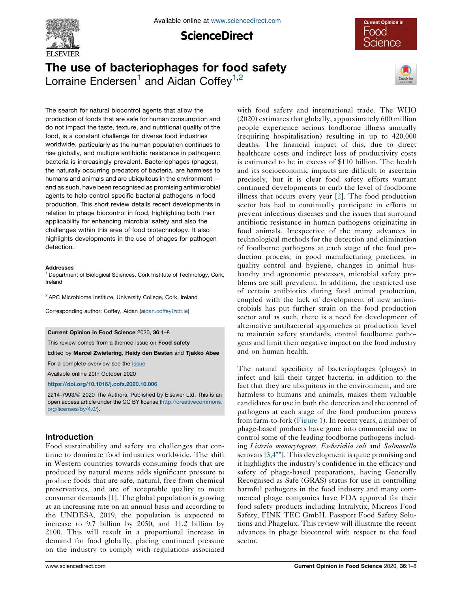

**ScienceDirect** 



# The use of bacteriophages for food safety Lorraine Endersen<sup>1</sup> and Aidan Coffey<sup>1,2</sup>



The search for natural biocontrol agents that allow the production of foods that are safe for human consumption and do not impact the taste, texture, and nutritional quality of the food, is a constant challenge for diverse food industries worldwide, particularly as the human population continues to rise globally, and multiple antibiotic resistance in pathogenic bacteria is increasingly prevalent. Bacteriophages (phages), the naturally occurring predators of bacteria, are harmless to humans and animals and are ubiquitous in the environment and as such, have been recognised as promising antimicrobial agents to help control specific bacterial pathogens in food production. This short review details recent developments in relation to phage biocontrol in food, highlighting both their applicability for enhancing microbial safety and also the challenges within this area of food biotechnology. It also highlights developments in the use of phages for pathogen detection.

#### Addresses

<sup>1</sup> Department of Biological Sciences, Cork Institute of Technology, Cork, Ireland

<sup>2</sup> APC Microbiome Institute, University College, Cork, Ireland

Corresponding author: Coffey, Aidan [\(aidan.coffey@cit.ie\)](mailto:aidan.coffey@cit.ie)

#### Current Opinion in Food Science 2020, 36:1–8

This review comes from a themed issue on Food safety

Edited by Marcel Zwietering, Heidy den Besten and Tjakko Abee

For a complete overview see the [Issue](http://www.sciencedirect.com/science/journal/22147993/26)

Available online 20th October 2020

<https://doi.org/10.1016/j.cofs.2020.10.006>

2214-7993/@ 2020 The Authors. Published by Elsevier Ltd. This is an open access article under the CC BY license [\(http://creativecommons.](http://creativecommons.org/licenses/by/4.0/) [org/licenses/by/4.0/](http://creativecommons.org/licenses/by/4.0/)).

# Introduction

Food sustainability and safety are challenges that continue to dominate food industries worldwide. The shift in Western countries towards consuming foods that are produced by natural means adds significant pressure to produce foods that are safe, natural, free from chemical preservatives, and are of acceptable quality to meet consumer demands [\[1\]](#page-7-0). The global population is growing at an increasing rate on an annual basis and according to the UNDESA, 2019, the population is expected to increase to 9.7 billion by 2050, and 11.2 billion by 2100. This will result in a proportional increase in demand for food globally, placing continued pressure on the industry to comply with regulations associated

with food safety and international trade. The WHO (2020) estimates that globally, approximately 600 million people experience serious foodborne illness annually (requiring hospitalisation) resulting in up to 420,000 deaths. The financial impact of this, due to direct healthcare costs and indirect loss of productivity costs is estimated to be in excess of \$110 billion. The health and its socioeconomic impacts are difficult to ascertain precisely, but it is clear food safety efforts warrant continued developments to curb the level of foodborne illness that occurs every year [\[2](#page-7-0)]. The food production sector has had to continually participate in efforts to prevent infectious diseases and the issues that surround antibiotic resistance in human pathogens originating in food animals. Irrespective of the many advances in technological methods for the detection and elimination of foodborne pathogens at each stage of the food production process, in good manufacturing practices, in quality control and hygiene, changes in animal husbandry and agronomic processes, microbial safety problems are still prevalent. In addition, the restricted use of certain antibiotics during food animal production, coupled with the lack of development of new antimicrobials has put further strain on the food production sector and as such, there is a need for development of alternative antibacterial approaches at production level to maintain safety standards, control foodborne pathogens and limit their negative impact on the food industry and on human health.

The natural specificity of bacteriophages (phages) to infect and kill their target bacteria, in addition to the fact that they are ubiquitous in the environment, and are harmless to humans and animals, makes them valuable candidates for use in both the detection and the control of pathogens at each stage of the food production process from farm-to-fork ([Figure](#page-2-0) 1). In recent years, a number of phage-based products have gone into commercial use to control some of the leading foodborne pathogens including Listeria monocytogenes, Escherichia coli and Salmonella serovars  $[3,4^{\bullet\bullet}]$  $[3,4^{\bullet\bullet}]$ . This [development](#page-7-0) is quite promising and it highlights the industry's confidence in the efficacy and safety of phage-based preparations, having Generally Recognised as Safe (GRAS) status for use in controlling harmful pathogens in the food industry and many commercial phage companies have FDA approval for their food safety products including Intralytix, Micreos Food Safety, FINK TEC GmbH, Passport Food Safety Solutions and Phagelux. This review will illustrate the recent advances in phage biocontrol with respect to the food sector.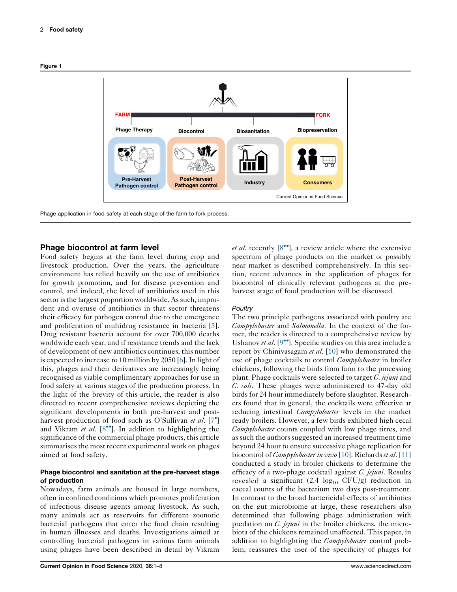<span id="page-2-0"></span>



Phage application in food safety at each stage of the farm to fork process.

## Phage biocontrol at farm level

Food safety begins at the farm level during crop and livestock production. Over the years, the agriculture environment has relied heavily on the use of antibiotics for growth promotion, and for disease prevention and control, and indeed, the level of antibiotics used in this sector is the largest proportion worldwide. As such, imprudent and overuse of antibiotics in that sector threatens their efficacy for pathogen control due to the emergence and proliferation of multidrug resistance in bacteria [\[5](#page-7-0)]. Drug resistant bacteria account for over 700,000 deaths worldwide each year, and if resistance trends and the lack of development of new antibiotics continues, this number is expected to increase to 10 million by 2050 [[6\]](#page-7-0). In light of this, phages and their derivatives are increasingly being recognised as viable complimentary approaches for use in food safety at various stages of the production process. In the light of the brevity of this article, the reader is also directed to recent comprehensive reviews depicting the significant developments in both pre-harvest and post-harvest production of food such as O'Sullivan et al. [\[7](#page-7-0)<sup>\*</sup>] and Vikram et al.  $[8^{\bullet\bullet}]$ . In addition to highlighting the significance of the commercial phage products, this article summarises the most recent experimental work on phages aimed at food safety.

## Phage biocontrol and sanitation at the pre-harvest stage of production

Nowadays, farm animals are housed in large numbers, often in confined conditions which promotes proliferation of infectious disease agents among livestock. As such, many animals act as reservoirs for different zoonotic bacterial pathogens that enter the food chain resulting in human illnesses and deaths. Investigations aimed at controlling bacterial pathogens in various farm animals using phages have been described in detail by Vikram

*et al.* recently  $[8\degree]$ , a review article where the extensive spectrum of phage products on the market or possibly near market is described comprehensively. In this section, recent advances in the application of phages for biocontrol of clinically relevant pathogens at the preharvest stage of food production will be discussed.

#### **Poultry**

The two principle pathogens associated with poultry are Campylobacter and Salmonella. In the context of the former, the reader is directed to a comprehensive review by Ushanov et al.  $[9^{\bullet\bullet}]$ . Specific studies on this area include a report by Chinivasagam et al. [\[10](#page-7-0)] who demonstrated the use of phage cocktails to control *Campylobacter* in broiler chickens, following the birds from farm to the processing plant. Phage cocktails were selected to target  $C$ . jejuni and C. coli. These phages were administered to 47-day old birds for 24 hour immediately before slaughter. Researchers found that in general, the cocktails were effective at reducing intestinal *Campylobacter* levels in the market ready broilers. However, a few birds exhibited high cecal Campylobacter counts coupled with low phage titres, and as such the authors suggested an increased treatment time beyond 24 hour to ensure successive phage replication for biocontrol of *Campylobacter in vivo* [[10](#page-7-0)]. Richards et al. [\[11\]](#page-7-0) conducted a study in broiler chickens to determine the efficacy of a two-phage cocktail against  $C$ . jejuni. Results revealed a significant  $(2.4 \text{log}_{10} CFU/g)$  reduction in caecal counts of the bacterium two days post-treatment. In contrast to the broad bactericidal effects of antibiotics on the gut microbiome at large, these researchers also determined that following phage administration with predation on *C. jejuni* in the broiler chickens, the microbiota of the chickens remained unaffected. This paper, in addition to highlighting the *Campylobacter* control problem, reassures the user of the specificity of phages for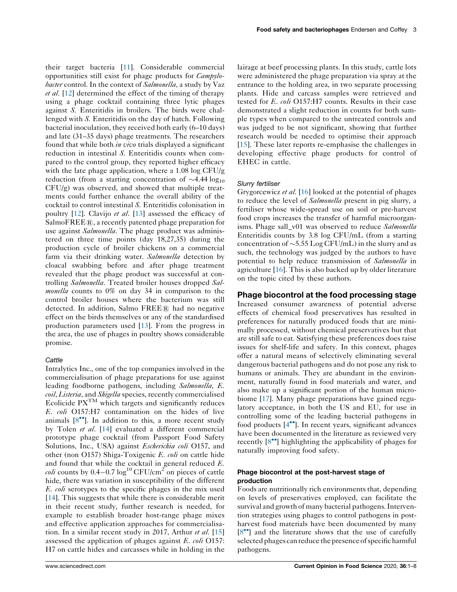their target bacteria [\[11](#page-7-0)]. Considerable commercial opportunities still exist for phage products for Campylobacter control. In the context of Salmonella, a study by Vaz et al. [[12\]](#page-7-0) determined the effect of the timing of therapy using a phage cocktail containing three lytic phages against S. Enteritidis in broilers. The birds were challenged with S. Enteritidis on the day of hatch. Following bacterial inoculation, they received both early (6–10 days) and late (31–35 days) phage treatments. The researchers found that while both *in vivo* trials displayed a significant reduction in intestinal S. Enteritidis counts when compared to the control group, they reported higher efficacy with the late phage application, where a 1.08 log CFU/g reduction (from a starting concentration of  $\sim$ 4.44 log<sub>10</sub> CFU/g) was observed, and showed that multiple treatments could further enhance the overall ability of the cocktail to control intestinal S. Enteritidis colonisation in poultry [[12\]](#page-7-0). Clavijo et al. [\[13](#page-7-0)] assessed the efficacy of  $SalmoFREE(R)$ , a recently patented phage preparation for use against Salmonella. The phage product was administered on three time points (day 18,27,35) during the production cycle of broiler chickens on a commercial farm via their drinking water. Salmonella detection by cloacal swabbing before and after phage treatment revealed that the phage product was successful at controlling Salmonella. Treated broiler houses dropped Salmonella counts to 0% on day 34 in comparison to the control broiler houses where the bacterium was still detected. In addition, Salmo  $FREE(\mathbb{R})$  had no negative effect on the birds themselves or any of the standardised production parameters used [[13\]](#page-7-0). From the progress in the area, the use of phages in poultry shows considerable promise.

#### **Cattle**

Intralytics Inc., one of the top companies involved in the commercialisation of phage preparations for use against leading foodborne pathogens, including Salmonella, E. coil, Listeria, and Shigella species, recently commercialised Ecolicide  $PX^{TM}$  which targets and significantly reduces E. coli O157:H7 contamination on the hides of live animals  $[8\degree]$ . In addition to this, a more recent study by Tolen et al. [[14\]](#page-7-0) evaluated a different commercial prototype phage cocktail (from Passport Food Safety Solutions, Inc., USA) against *Escherichia coli* O157, and other (non O157) Shiga-Toxigenic E. coli on cattle hide and found that while the cocktail in general reduced E. *coli* counts by  $0.4-0.7 \log^{10}$  CFU/cm<sup>2</sup> on pieces of cattle hide, there was variation in susceptibility of the different E. coli serotypes to the specific phages in the mix used [\[14](#page-7-0)]. This suggests that while there is considerable merit in their recent study, further research is needed, for example to establish broader host-range phage mixes and effective application approaches for commercialisation. In a similar recent study in 2017, Arthur *et al.* [[15\]](#page-7-0) assessed the application of phages against  $E.$  coli O157: H7 on cattle hides and carcasses while in holding in the lairage at beef processing plants. In this study, cattle lots were administered the phage preparation via spray at the entrance to the holding area, in two separate processing plants. Hide and carcass samples were retrieved and tested for *E. coli* O157:H7 counts. Results in their case demonstrated a slight reduction in counts for both sample types when compared to the untreated controls and was judged to be not significant, showing that further research would be needed to optimise their approach [[15\]](#page-7-0). These later reports re-emphasise the challenges in developing effective phage products for control of EHEC in cattle.

#### Slurry fertiliser

Grygorcewicz et al. [[16\]](#page-7-0) looked at the potential of phages to reduce the level of *Salmonella* present in pig slurry, a fertiliser whose wide-spread use on soil or pre-harvest food crops increases the transfer of harmful microorganisms. Phage sall\_v01 was observed to reduce Salmonella Enteritidis counts by 3.8 log CFU/mL (from a starting concentration of  $\sim$ 5.55 Log CFU/mL) in the slurry and as such, the technology was judged by the authors to have potential to help reduce transmission of Salmonella in agriculture [\[16](#page-7-0)]. This is also backed up by older literature on the topic cited by these authors.

#### Phage biocontrol at the food processing stage

Increased consumer awareness of potential adverse effects of chemical food preservatives has resulted in preferences for naturally produced foods that are minimally processed, without chemical preservatives but that are still safe to eat. Satisfying these preferences does raise issues for shelf-life and safety. In this context, phages offer a natural means of selectively eliminating several dangerous bacterial pathogens and do not pose any risk to humans or animals. They are abundant in the environment, naturally found in food materials and water, and also make up a significant portion of the human microbiome [\[17](#page-7-0)]. Many phage preparations have gained regulatory acceptance, in both the US and EU, for use in controlling some of the leading bacterial pathogens in food products  $[4^{\bullet\bullet}]$ . In recent years, significant advances have been documented in the literature as reviewed very recently  $[8\bullet]$  highlighting the applicability of phages for naturally improving food safety.

#### Phage biocontrol at the post-harvest stage of production

Foods are nutritionally rich environments that, depending on levels of preservatives employed, can facilitate the survival and growth of many bacterial pathogens. Intervention strategies using phages to control pathogens in postharvest food materials have been documented by many [\[8](#page-7-0)<sup>\*\*</sup>] and the literature shows that the use of carefully selected phages can reduce the presence of specific harmful pathogens.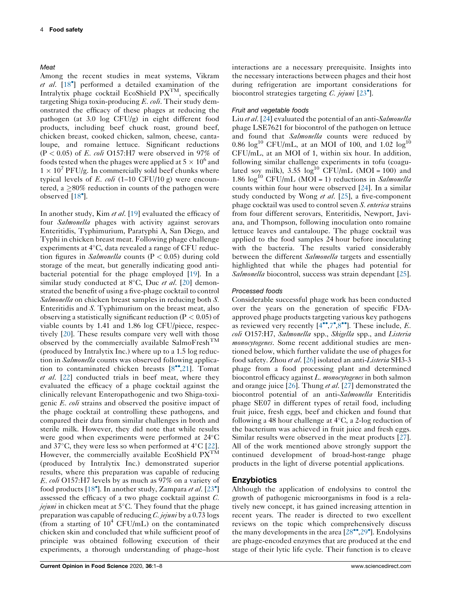### Meat

Among the recent studies in meat systems, Vikram et al. [\[18](#page-7-0)<sup>\*</sup>] performed a detailed examination of the Intralytix phage cocktail EcoShield  $PX<sup>TM</sup>$ , specifically targeting Shiga toxin-producing  $E$ . coli. Their study demonstrated the efficacy of these phages at reducing the pathogen (at 3.0 log CFU/g) in eight different food products, including beef chuck roast, ground beef, chicken breast, cooked chicken, salmon, cheese, cantaloupe, and romaine lettuce. Significant reductions  $(P < 0.05)$  of E. coli O157:H7 were observed in 97% of foods tested when the phages were applied at  $5 \times 10^6$  and  $1 \times 10^7$  PFU/g. In commercially sold beef chunks where typical levels of E. coli (1–10 CFU/10 g) were encountered, a  $\geq$ 80% reduction in counts of the pathogen were observed [[18](#page-7-0)<sup>°</sup>].

In another study, Kim et al. [[19\]](#page-7-0) evaluated the efficacy of four Salmonella phages with activity against serovars Enteritidis, Typhimurium, Paratyphi A, San Diego, and Typhi in chicken breast meat. Following phage challenge experiments at  $4^{\circ}$ C, data revealed a range of CFU reduction figures in *Salmonella* counts ( $P < 0.05$ ) during cold storage of the meat, but generally indicating good antibacterial potential for the phage employed [\[19](#page-7-0)]. In a similar study conducted at 8°C, Duc et al. [\[20](#page-7-0)] demonstrated the benefit of using a five-phage cocktail to control Salmonella on chicken breast samples in reducing both S. Enteritidis and S. Typhimurium on the breast meat, also observing a statistically significant reduction ( $P < 0.05$ ) of viable counts by 1.41 and 1.86 log CFU/piece, respectively [[20\]](#page-7-0). These results compare very well with those observed by the commercially available SalmoFresh<sup>TM</sup> (produced by Intralytix Inc.) where up to a 1.5 log reduction in Salmonella counts was observed following application to contaminated chicken breasts  $[8^{\bullet\bullet},21]$  $[8^{\bullet\bullet},21]$ . Tomat et al. [[22\]](#page-7-0) conducted trials in beef meat, where they evaluated the efficacy of a phage cocktail against the clinically relevant Enteropathogenic and two Shiga-toxigenic E. coli strains and observed the positive impact of the phage cocktail at controlling these pathogens, and compared their data from similar challenges in broth and sterile milk. However, they did note that while results were good when experiments were performed at  $24^{\circ}$ C and 37 $\degree$ C, they were less so when performed at 4 $\degree$ C [\[22](#page-7-0)]. However, the commercially available EcoShield  $PX^{T\tilde{M}}$ (produced by Intralytix Inc.) demonstrated superior results, where this preparation was capable of reducing E. coli O157:H7 levels by as much as 97% on a variety of food products [\[18](#page-7-0)<sup>°</sup>]. In another study, Zampara et al. [\[23](#page-7-0)<sup>°</sup>] assessed the efficacy of a two phage cocktail against C. *jejuni* in chicken meat at  $5^{\circ}$ C. They found that the phage preparation was capable of reducing  $C$ . jejuni by a 0.73 logs (from a starting of  $10^4$  CFU/mL) on the contaminated chicken skin and concluded that while sufficient proof of principle was obtained following execution of their experiments, a thorough understanding of phage–host

interactions are a necessary prerequisite. Insights into the necessary interactions between phages and their host during refrigeration are important considerations for biocontrol strategies targeting C. jejuni [[23](#page-7-0)<sup>°</sup>].

#### Fruit and vegetable foods

Liu et al. [\[24](#page-8-0)] evaluated the potential of an anti-Salmonella phage LSE7621 for biocontrol of the pathogen on lettuce and found that *Salmonella* counts were reduced by 0.86  $\log^{10}$  CFU/mL, at an MOI of 100, and 1.02  $\log^{10}$ CFU/mL, at an MOI of 1, within six hour. In addition, following similar challenge experiments in tofu (coagulated soy milk), 3.55  $log<sup>10</sup>$  CFU/mL (MOI = 100) and 1.86  $\log^{10}$  CFU/mL (MOI = 1) reductions in Salmonella counts within four hour were observed [[24\]](#page-8-0). In a similar study conducted by Wong et al. [[25\]](#page-8-0), a five-component phage cocktail was used to control seven S. enterica strains from four different serovars, Enteritidis, Newport, Javiana, and Thompson, following inoculation onto romaine lettuce leaves and cantaloupe. The phage cocktail was applied to the food samples 24 hour before inoculating with the bacteria. The results varied considerably between the different Salmonella targets and essentially highlighted that while the phages had potential for Salmonella biocontrol, success was strain dependant [[25](#page-8-0)].

#### Processed foods

Considerable successful phage work has been conducted over the years on the generation of specific FDAapproved phage products targeting various key pathogens as reviewed very recently  $[4^{\bullet\bullet},7^{\bullet},8^{\bullet\bullet}]$  $[4^{\bullet\bullet},7^{\bullet},8^{\bullet\bullet}]$  $[4^{\bullet\bullet},7^{\bullet},8^{\bullet\bullet}]$ . These include, E. coli O157:H7, Salmonella spp., Shigella spp., and Listeria monocytogenes. Some recent additional studies are mentioned below, which further validate the use of phages for food safety. Zhou et al. [\[26](#page-8-0)] isolated an anti-Listeria SH3-3 phage from a food processing plant and determined biocontrol efficacy against L. monocytogenes in both salmon and orange juice  $[26]$  $[26]$ . Thung et al.  $[27]$  $[27]$  demonstrated the biocontrol potential of an anti-Salmonella Enteritidis phage SE07 in different types of retail food, including fruit juice, fresh eggs, beef and chicken and found that following a 48 hour challenge at  $4^{\circ}$ C, a 2-log reduction of the bacterium was achieved in fruit juice and fresh eggs. Similar results were observed in the meat products [[27](#page-8-0)]. All of the work mentioned above strongly support the continued development of broad-host-range phage products in the light of diverse potential applications.

#### Enzybiotics

Although the application of endolysins to control the growth of pathogenic microorganisms in food is a relatively new concept, it has gained increasing attention in recent years. The reader is directed to two excellent reviews on the topic which comprehensively discuss the many developments in the area  $[28\text{''}, 29\text{''}]$  $[28\text{''}, 29\text{''}]$  $[28\text{''}, 29\text{''}]$ . Endolysins are phage-encoded enzymes that are produced at the end stage of their lytic life cycle. Their function is to cleave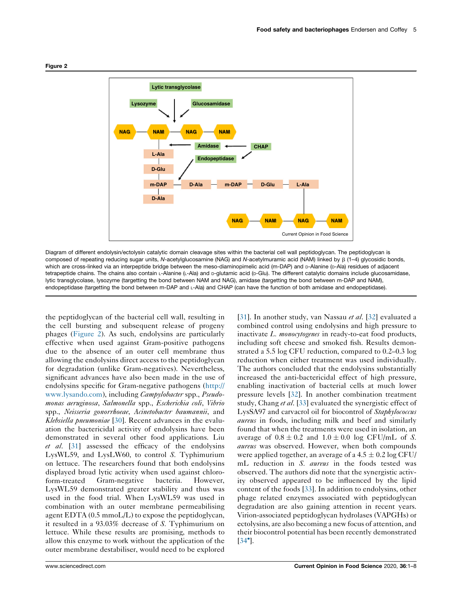

Diagram of different endolysin/ectolysin catalytic domain cleavage sites within the bacterial cell wall peptidoglycan. The peptidoglycan is composed of repeating reducing sugar units, N-acetylglucosamine (NAG) and N-acetylmuramic acid (NAM) linked by  $\beta$  (1–4) glycosidic bonds, which are cross-linked via an interpeptide bridge between the meso-diaminopimelic acid (m-DAP) and D-Alanine (D-Ala) residues of adjacent tetrapeptide chains. The chains also contain L-Alanine (L-Ala) and D-glutamic acid (D-Glu). The different catalytic domains include glucosamidase, lytic transglycolase, lysozyme (targetting the bond between NAM and NAG), amidase (targetting the bond between m-DAP and NAM), endopeptidase (targetting the bond between m-DAP and L-Ala) and CHAP (can have the function of both amidase and endopeptidase).

the peptidoglycan of the bacterial cell wall, resulting in the cell bursting and subsequent release of progeny phages (Figure 2). As such, endolysins are particularly effective when used against Gram-positive pathogens due to the absence of an outer cell membrane thus allowing the endolysins direct access to the peptidoglycan for degradation (unlike Gram-negatives). Nevertheless, significant advances have also been made in the use of endolysins specific for Gram-negative pathogens [\(http://](http://www.lysando.com) [www.lysando.com](http://www.lysando.com)), including Campylobacter spp., Pseudomonas aeruginosa, Salmonella spp., Escherichia coli, Vibrio spp., Neisseria gonorrhoeae, Acinetobacter baumannii, and Klebsiella pneumoniae [[30\]](#page-8-0). Recent advances in the evaluation the bactericidal activity of endolysins have been demonstrated in several other food applications. Liu  $et \ al.$  [\[31](#page-8-0)] assessed the efficacy of the endolysins LysWL59, and LysLW60, to control S. Typhimurium on lettuce. The researchers found that both endolysins displayed broad lytic activity when used against chloroform-treated Gram-negative bacteria. However, LysWL59 demonstrated greater stability and thus was used in the food trial. When LysWL59 was used in combination with an outer membrane permeabilising agent EDTA (0.5 mmoL/L) to expose the peptidoglycan, it resulted in a 93.03% decrease of S. Typhimurium on lettuce. While these results are promising, methods to allow this enzyme to work without the application of the outer membrane destabiliser, would need to be explored

combined control using endolysins and high pressure to inactivate L. monocytogenes in ready-to-eat food products, including soft cheese and smoked fish. Results demonstrated a 5.5 log CFU reduction, compared to 0.2–0.3 log reduction when either treatment was used individually. The authors concluded that the endolysins substantially increased the anti-bactericidal effect of high pressure, enabling inactivation of bacterial cells at much lower pressure levels [[32\]](#page-8-0). In another combination treatment study, Chang et al. [[33\]](#page-8-0) evaluated the synergistic effect of LysSA97 and carvacrol oil for biocontrol of Staphylococcus aureus in foods, including milk and beef and similarly found that when the treatments were used in isolation, an average of  $0.8 \pm 0.2$  and  $1.0 \pm 0.0$  log CFU/mL of S. aureus was observed. However, when both compounds were applied together, an average of a  $4.5 \pm 0.2 \log CFU$ mL reduction in S. *aureus* in the foods tested was observed. The authors did note that the synergistic activity observed appeared to be influenced by the lipid content of the foods [\[33](#page-8-0)]. In addition to endolysins, other phage related enzymes associated with peptidoglycan degradation are also gaining attention in recent years. Virion-associated peptidoglycan hydrolases (VAPGHs) or ectolysins, are also becoming a new focus of attention, and their biocontrol potential has been recently demonstrated [[34](#page-8-0)<sup>°</sup>].

[[31](#page-8-0)]. In another study, van Nassau *et al.* [[32\]](#page-8-0) evaluated a

#### Figure 2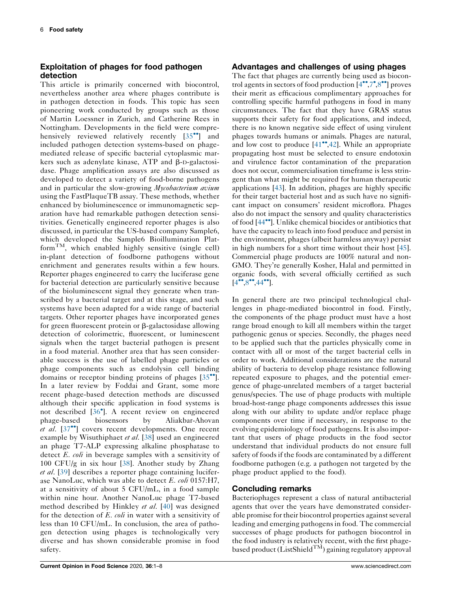# Exploitation of phages for food pathogen detection

This article is primarily concerned with biocontrol, nevertheless another area where phages contribute is in pathogen detection in foods. This topic has seen pioneering work conducted by groups such as those of Martin Loessner in Zurich, and Catherine Rees in Nottingham. Developments in the field were comprehensively reviewed relatively recently  $[35$  $[35$ <sup> $\bullet$ </sup>] and included pathogen detection systems-based on phagemediated release of specific bacterial cytoplasmic markers such as adenylate kinase,  $ATP$  and  $\beta$ -D-galactosidase. Phage amplification assays are also discussed as developed to detect a variety of food-borne pathogens and in particular the slow-growing Mycobacterium avium using the FastPlaqueTB assay. These methods, whether enhanced by bioluminescence or immunomagnetic separation have had remarkable pathogen detection sensitivities. Genetically engineered reporter phages is also discussed, in particular the US-based company Sample6, which developed the Sample6 Bioillumination Plat $form<sup>TM</sup>$ , which enabled highly sensitive (single cell) in-plant detection of foodborne pathogens without enrichment and generates results within a few hours. Reporter phages engineered to carry the luciferase gene for bacterial detection are particularly sensitive because of the bioluminescent signal they generate when transcribed by a bacterial target and at this stage, and such systems have been adapted for a wide range of bacterial targets. Other reporter phages have incorporated genes for green fluorescent protein or  $\beta$ -galactosidase allowing detection of colorimetric, fluorescent, or luminescent signals when the target bacterial pathogen is present in a food material. Another area that has seen considerable success is the use of labelled phage particles or phage components such as endolysin cell binding domains or receptor binding proteins of phages  $[35$  $[35$ <sup>\*\*</sup>]. In a later review by Foddai and Grant, some more recent phage-based detection methods are discussed although their specific application in food systems is not described [\[36](#page-8-0) ]. A recent review on engineered phage-based biosensors by Aliakbar-Ahovan et al.  $[37\text{°}]$  $[37\text{°}]$  $[37\text{°}]$  covers recent developments. One recent example by Wisuthiphaet et al. [\[38\]](#page-8-0) used an engineered an phage T7-ALP expressing alkaline phosphatase to detect E. *coli* in beverage samples with a sensitivity of 100 CFU/g in six hour [\[38](#page-8-0)]. Another study by Zhang et al. [[39\]](#page-8-0) describes a reporter phage containing luciferase NanoLuc, which was able to detect E. *coli* 0157:H7, at a sensitivity of about 5 CFU/mL, in a food sample within nine hour. Another NanoLuc phage T7-based method described by Hinkley et al. [\[40](#page-8-0)] was designed for the detection of E. coli in water with a sensitivity of less than 10 CFU/mL. In conclusion, the area of pathogen detection using phages is technologically very diverse and has shown considerable promise in food safety.

## Advantages and challenges of using phages

The fact that phages are currently being used as biocontrol agents in sectors of food production  $[4^{\bullet\bullet}, 7^{\bullet}, 8^{\bullet\bullet}]$  proves their merit as efficacious complimentary approaches for controlling specific harmful pathogens in food in many circumstances. The fact that they have GRAS status supports their safety for food applications, and indeed, there is no known negative side effect of using virulent phages towards humans or animals. Phages are natural, and low cost to produce  $[41^{\bullet\bullet}, 42]$  $[41^{\bullet\bullet}, 42]$  $[41^{\bullet\bullet}, 42]$ . While an appropriate propagating host must be selected to ensure endotoxin and virulence factor contamination of the preparation does not occur, commercialisation timeframe is less stringent than what might be required for human therapeutic applications [\[43](#page-8-0)]. In addition, phages are highly specific for their target bacterial host and as such have no significant impact on consumers' resident microflora. Phages also do not impact the sensory and quality characteristics of food [[44](#page-8-0)]. Unlike chemical biocides or antibiotics that have the capacity to leach into food produce and persist in the environment, phages (albeit harmless anyway) persist in high numbers for a short time without their host [[45](#page-8-0)]. Commercial phage products are 100% natural and non-GMO. They're generally Kosher, Halal and permitted in organic foods, with several officially certified as such  $[4^{\bullet\bullet}.8^{\bullet\bullet}.44^{\bullet\bullet}].$  $[4^{\bullet\bullet}.8^{\bullet\bullet}.44^{\bullet\bullet}].$  $[4^{\bullet\bullet}.8^{\bullet\bullet}.44^{\bullet\bullet}].$ 

In general there are two principal technological challenges in phage-mediated biocontrol in food. Firstly, the components of the phage product must have a host range broad enough to kill all members within the target pathogenic genus or species. Secondly, the phages need to be applied such that the particles physically come in contact with all or most of the target bacterial cells in order to work. Additional considerations are the natural ability of bacteria to develop phage resistance following repeated exposure to phages, and the potential emergence of phage-unrelated members of a target bacterial genus/species. The use of phage products with multiple broad-host-range phage components addresses this issue along with our ability to update and/or replace phage components over time if necessary, in response to the evolving epidemiology of food pathogens. It is also important that users of phage products in the food sector understand that individual products do not ensure full safety of foods if the foods are contaminated by a different foodborne pathogen (e.g. a pathogen not targeted by the phage product applied to the food).

## Concluding remarks

Bacteriophages represent a class of natural antibacterial agents that over the years have demonstrated considerable promise for their biocontrol properties against several leading and emerging pathogens in food. The commercial successes of phage products for pathogen biocontrol in the food industry is relatively recent, with the first phagebased product (ListShield<sup>TM</sup>) gaining regulatory approval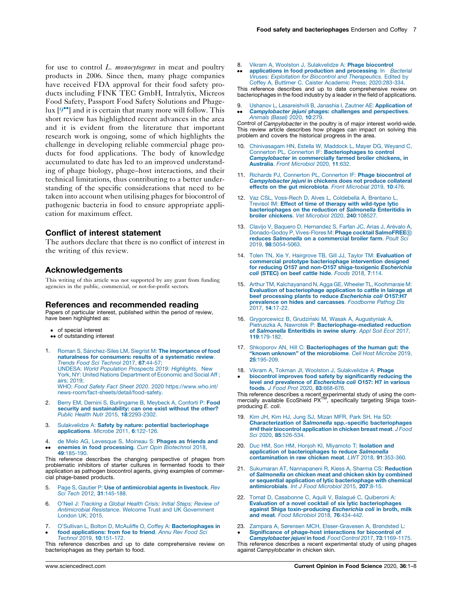<span id="page-7-0"></span>for use to control L. monocytogenes in meat and poultry products in 2006. Since then, many phage companies have received FDA approval for their food safety products including FINK TEC GmbH, Intralytix, Micreos Food Safety, Passport Food Safety Solutions and Phagelux  $[9\degree]$  and it is certain that many more will follow. This short review has highlighted recent advances in the area and it is evident from the literature that important research work is ongoing, some of which highlights the challenge in developing reliable commercial phage products for food applications. The body of knowledge accumulated to date has led to an improved understanding of phage biology, phage–host interactions, and their technical limitations, thus contributing to a better understanding of the specific considerations that need to be taken into account when utilising phages for biocontrol of pathogenic bacteria in food to ensure appropriate application for maximum effect.

## Conflict of interest statement

The authors declare that there is no conflict of interest in the writing of this review.

## Acknowledgements

This writing of this article was not supported by any grant from funding agencies in the public, commercial, or not-for-profit sectors.

#### References and recommended reading

Papers of particular interest, published within the period of review, have been highlighted as:

- of special interest
- •• of outstanding interest
- 1. Roman S, Sánchez-Siles LM, Siegrist M: The [importance](http://refhub.elsevier.com/S2214-7993(20)30084-9/sbref0005a) of food naturalness for [consumers:](http://refhub.elsevier.com/S2214-7993(20)30084-9/sbref0005a) results of a systematic review. Trends Food Sci [Technol](http://refhub.elsevier.com/S2214-7993(20)30084-9/sbref0005a) 2017, 67:44-57; UNDESA: World [Population](http://refhub.elsevier.com/S2214-7993(20)30084-9/sbref0005b) Prospects 2019: Highlights. New York, NY: United Nations [Department](http://refhub.elsevier.com/S2214-7993(20)30084-9/sbref0005b) of Economic and Social Aff ; airs; [2019;](http://refhub.elsevier.com/S2214-7993(20)30084-9/sbref0005b) WHO: Food Safety Fact Sheet 2020. 2020 [https://www.who.int/](http://refhub.elsevier.com/S2214-7993(20)30084-9/sbref0005b) [news-room/fact-sheets/detail/food-safety.](https://www.who.int/news-room/fact-sheets/detail/food-safety)
- 2. Berry EM, Dernini S, [Burlingame](http://refhub.elsevier.com/S2214-7993(20)30084-9/sbref0010) B, Meybeck A, Conforti P: Food security and [sustainability:](http://refhub.elsevier.com/S2214-7993(20)30084-9/sbref0010) can one exist without the other? Public Health Nutr 2015, 18[:2293-2302.](http://refhub.elsevier.com/S2214-7993(20)30084-9/sbref0010)
- 3. Sulakvelidze A: Safety by nature: potential [bacteriophage](http://refhub.elsevier.com/S2214-7993(20)30084-9/sbref0015) [applications](http://refhub.elsevier.com/S2214-7993(20)30084-9/sbref0015). Microbe 2011, 6:122-126.
- 4. de Melo AG, [Levesque](http://refhub.elsevier.com/S2214-7993(20)30084-9/sbref0020) S, Moineau S: Phages as friends and enemies in food [processing](http://refhub.elsevier.com/S2214-7993(20)30084-9/sbref0020). Curr Opin Biotechnol 2018,
- $\ddot{\phantom{0}}$ 49[:185-190.](http://refhub.elsevier.com/S2214-7993(20)30084-9/sbref0020) This reference describes the changing perspective of phages from

problematic inhibitors of starter cultures in fermented foods to their application as pathogen biocontrol agents, giving examples of commercial phage-based products.

- 5. Page S, Gautier P: Use of [antimicrobial](http://refhub.elsevier.com/S2214-7993(20)30084-9/sbref0025) agents in livestock. Rev Sci Tech 2012, 31[:145-188.](http://refhub.elsevier.com/S2214-7993(20)30084-9/sbref0025)
- 6. O'Neil J: [Tracking](http://refhub.elsevier.com/S2214-7993(20)30084-9/sbref0030) a Global Health Crisis: Initial Steps; Review of [Antimicrobial](http://refhub.elsevier.com/S2214-7993(20)30084-9/sbref0030) Resistance. Welcome Trust and UK Government [London](http://refhub.elsevier.com/S2214-7993(20)30084-9/sbref0030) UK; 2015.
- 7. O'Sullivan L, Bolton D, McAuliffe O, Coffey A: [Bacteriophages](http://refhub.elsevier.com/S2214-7993(20)30084-9/sbref0035) in food [applications:](http://refhub.elsevier.com/S2214-7993(20)30084-9/sbref0035) from foe to friend. Annu Rev Food Sci
- $\bullet$ Technol 2019, 10[:151-172.](http://refhub.elsevier.com/S2214-7993(20)30084-9/sbref0035)

This reference describes and up to date comprehensive review on bacteriophages as they pertain to food.

8. Vikram A, Woolston J, [Sulakvelidze](http://refhub.elsevier.com/S2214-7993(20)30084-9/sbref0040) A: Phage biocontrol

 $\ddot{\phantom{0}}$ [applications](http://refhub.elsevier.com/S2214-7993(20)30084-9/sbref0040) in food production and processing. In Bacterial Viruses: Exploitation for Biocontrol and [Therapeutics.](http://refhub.elsevier.com/S2214-7993(20)30084-9/sbref0040) Edited by Coffey A, Buttimer C. Caister Academic Press; [2020:283-334](http://refhub.elsevier.com/S2214-7993(20)30084-9/sbref0040).

This reference describes and up to date comprehensive review on bacteriophages in the food industry by a leader in the field of applications.

9.  $\ddot{\phantom{0}}$ Ushanov L, [Lasareishvili](http://refhub.elsevier.com/S2214-7993(20)30084-9/sbref0045) B, Janashia I, Zautner AE: Application of [Campylobacter](http://refhub.elsevier.com/S2214-7993(20)30084-9/sbref0045) jejuni phages: challenges and [perspectives](http://refhub.elsevier.com/S2214-7993(20)30084-9/sbref0045). Animals (Basel) 2020, 10:279.

Control of Campylobacter in the poultry is of major interest world-wide. This review article describes how phages can impact on solving this problem and covers the historical progress in the area.

- 10. [Chinivasagam](http://refhub.elsevier.com/S2214-7993(20)30084-9/sbref0050) HN, Estella W, Maddock L, Mayer DG, Weyand C, Connerton PL, Connerton IF: [Bacteriophages](http://refhub.elsevier.com/S2214-7993(20)30084-9/sbref0050) to control [Campylobacter](http://refhub.elsevier.com/S2214-7993(20)30084-9/sbref0050) in [commercially](http://refhub.elsevier.com/S2214-7993(20)30084-9/sbref0050) farmed broiler chickens, in Australia. Front Microbiol 2020, 11:632.
- 11. Richards PJ, Connerton PL, Connerton IF: Phage [biocontrol](http://refhub.elsevier.com/S2214-7993(20)30084-9/sbref0055) of Campylobacter jejuni in chickens does not produce [collateral](http://refhub.elsevier.com/S2214-7993(20)30084-9/sbref0055) effects on the gut [microbiota](http://refhub.elsevier.com/S2214-7993(20)30084-9/sbref0055). Front Microbial 2019, 10:476.
- 12. Vaz CSL, [Voss-Rech](http://refhub.elsevier.com/S2214-7993(20)30084-9/sbref0060) D, Alves L, Coldebella A, Brentano L, Trevisol IM: Effect of time of therapy with [wild-type](http://refhub.elsevier.com/S2214-7993(20)30084-9/sbref0060) lytic [bacteriophages](http://refhub.elsevier.com/S2214-7993(20)30084-9/sbref0060) on the reduction of Salmonella Enteritidis in broiler [chickens](http://refhub.elsevier.com/S2214-7993(20)30084-9/sbref0060). Vet Microbiol 2020, 240:108527.
- 13. Clavijo V, Baquero D, [Hernandez](http://refhub.elsevier.com/S2214-7993(20)30084-9/sbref0065) S, Farfan JC, Arias J, Arévalo A, [Donado-Godoy](http://refhub.elsevier.com/S2214-7993(20)30084-9/sbref0065) P, Vives-Flores M: Phage cocktail SalmoFREE® reduces Salmonella on <sup>a</sup> [commercial](http://refhub.elsevier.com/S2214-7993(20)30084-9/sbref0065) broiler farm. Poult Sci 2019, 98[:5054-5063.](http://refhub.elsevier.com/S2214-7993(20)30084-9/sbref0065)
- 14. Tolen TN, Xie Y, Hairgrove TB, Gill JJ, Taylor TM: [Evaluation](http://refhub.elsevier.com/S2214-7993(20)30084-9/sbref0070) of commercial prototype [bacteriophage](http://refhub.elsevier.com/S2214-7993(20)30084-9/sbref0070) intervention designed for reducing O157 and non-O157 [shiga-toxigenic](http://refhub.elsevier.com/S2214-7993(20)30084-9/sbref0070) Escherichia coli [\(STEC\)](http://refhub.elsevier.com/S2214-7993(20)30084-9/sbref0070) on beef cattle hide. Foods 2018, 7:114.
- 15. Arthur TM, [Kalchayanand](http://refhub.elsevier.com/S2214-7993(20)30084-9/sbref0075) N, Agga GE, Wheeler TL, Koohmaraie M: Evaluation of [bacteriophage](http://refhub.elsevier.com/S2214-7993(20)30084-9/sbref0075) application to cattle in lairage at<br>beef processing plants to reduce Escherichia coli 0157:H7 beef [processing](http://refhub.elsevier.com/S2214-7993(20)30084-9/sbref0075) plants to reduce Escherichia coli O157:H7 [prevalence](http://refhub.elsevier.com/S2214-7993(20)30084-9/sbref0075) on hides and carcasses. Foodborne Pathog Dis 2017, 14[:17-22.](http://refhub.elsevier.com/S2214-7993(20)30084-9/sbref0075)
- 16. [Grygorcewicz](http://refhub.elsevier.com/S2214-7993(20)30084-9/sbref0080) B, Grudziński M, Wasak A, Augustyniak A Pietruszka A, Nawrotek P: [Bacteriophage-mediated](http://refhub.elsevier.com/S2214-7993(20)30084-9/sbref0080) reduction of Salmonella [Enteritidis](http://refhub.elsevier.com/S2214-7993(20)30084-9/sbref0080) in swine slurry. Appl Soil Ecol 2017, 119[:179-182.](http://refhub.elsevier.com/S2214-7993(20)30084-9/sbref0080)
- 17. Shkoporov AN, Hill C: [Bacteriophages](http://refhub.elsevier.com/S2214-7993(20)30084-9/sbref0085) of the human gut: the "known unknown" of the [microbiome](http://refhub.elsevier.com/S2214-7993(20)30084-9/sbref0085). Cell Host Microbe 2019, 25[:195-209.](http://refhub.elsevier.com/S2214-7993(20)30084-9/sbref0085)
- 18. Vikram A, Tokman JI, Woolston J, [Sulakvelidze](http://refhub.elsevier.com/S2214-7993(20)30084-9/sbref0090) A: Phage
- $\bullet$ biocontrol improves food safety by [significantly](http://refhub.elsevier.com/S2214-7993(20)30084-9/sbref0090) reducing the level and [prevalence](http://refhub.elsevier.com/S2214-7993(20)30084-9/sbref0090) of Escherichia coli O157: H7 in various foods. J Food Prot 2020, 83[:668-676.](http://refhub.elsevier.com/S2214-7993(20)30084-9/sbref0090)

This reference describes a recent experimental study of using the com-mercially available EcoShield PXTM, specifically targeting Shiga toxinproducing E. coli.

- 19. Kim JH, Kim HJ, Jung SJ, [Mizan](http://refhub.elsevier.com/S2214-7993(20)30084-9/sbref0095) MFR, Park SH, Ha SD:<br> **[Characterization](http://refhub.elsevier.com/S2214-7993(20)30084-9/sbref0095) of Salmonella spp.-specific bacteriophages**<br> **and their biocontrol application in chicken breast meat.** J Food and their biocontrol [application](http://refhub.elsevier.com/S2214-7993(20)30084-9/sbref0095) in chicken breast meat. J Food Sci 2020, 85[:526-534.](http://refhub.elsevier.com/S2214-7993(20)30084-9/sbref0095)
- 20. Duc HM, Son HM, Honjoh KI, [Miyamoto](http://refhub.elsevier.com/S2214-7993(20)30084-9/sbref0100) T: Isolation and application of bacteriophages to reduce Salmonella application of [bacteriophages](http://refhub.elsevier.com/S2214-7993(20)30084-9/sbref0100) to reduce Salmonella<br>[contamination](http://refhub.elsevier.com/S2214-7993(20)30084-9/sbref0100) in raw chicken meat. LWT 2018, 91:353-360.
- 21. Sukumaran AT, [Nannapaneni](http://refhub.elsevier.com/S2214-7993(20)30084-9/sbref0105) R, Kiess A, Sharma CS: Reduction of Salmonella on chicken meat and chicken skin by [combined](http://refhub.elsevier.com/S2214-7993(20)30084-9/sbref0105) or sequential application of lytic [bacteriophage](http://refhub.elsevier.com/S2214-7993(20)30084-9/sbref0105) with chemical [antimicrobials](http://refhub.elsevier.com/S2214-7993(20)30084-9/sbref0105). Int J Food Microbiol 2015, 207:8-15.
- 22. Tomat D, [Casabonne](http://refhub.elsevier.com/S2214-7993(20)30084-9/sbref0110) C, Aquili V, Balaqué C, Quiberoni A: Evaluation of a novel cocktail of six lytic [bacteriophages](http://refhub.elsevier.com/S2214-7993(20)30084-9/sbref0110) against Shiga [toxin-producing](http://refhub.elsevier.com/S2214-7993(20)30084-9/sbref0110) Escherichia coli in broth, milk and meat. Food Microbiol 2018, 76[:434-442.](http://refhub.elsevier.com/S2214-7993(20)30084-9/sbref0110)
- 23.  $\bullet$ Zampara A, Sørensen MCH, [Elsser-Gravesen](http://refhub.elsevier.com/S2214-7993(20)30084-9/sbref0115) A, Brøndsted L: [Significance](http://refhub.elsevier.com/S2214-7993(20)30084-9/sbref0115) of phage-host interactions for biocontrol of

Campylobacter jejuni in food. Food Control 2017, 73[:1169-1175.](http://refhub.elsevier.com/S2214-7993(20)30084-9/sbref0115) This reference describes a recent experimental study of using phages against Campylobcater in chicken skin.